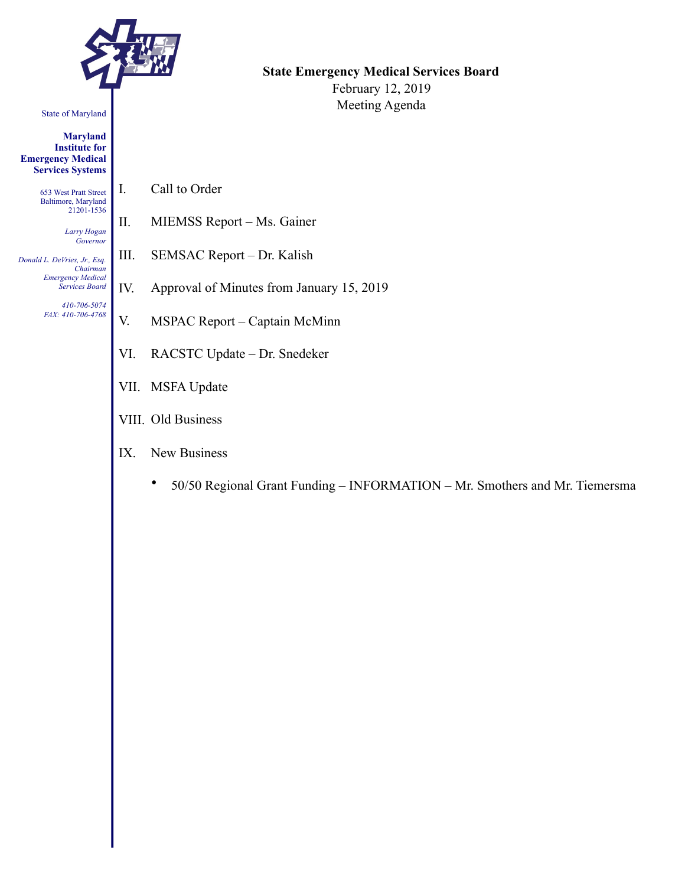

#### State of Maryland

**Maryland Institute for Emergency Medical Services Systems** 

> 653 West Pratt Street Baltimore, Maryland 21201-1536

> > *Larry Hogan Governor*

*Donald L. DeVries, Jr., Esq. Chairman Emergency Medical Services Board* 

> *410-706-5074 FAX: 410-706-4768*

I. Call to Order

- II. MIEMSS Report Ms. Gainer
- III. SEMSAC Report Dr. Kalish
- IV. Approval of Minutes from January 15, 2019
- V. MSPAC Report Captain McMinn
- VI. RACSTC Update Dr. Snedeker
- VII. MSFA Update
- VIII. Old Business
- IX. New Business
	- 50/50 Regional Grant Funding INFORMATION Mr. Smothers and Mr. Tiemersma

## **State Emergency Medical Services Board**

February 12, 2019 Meeting Agenda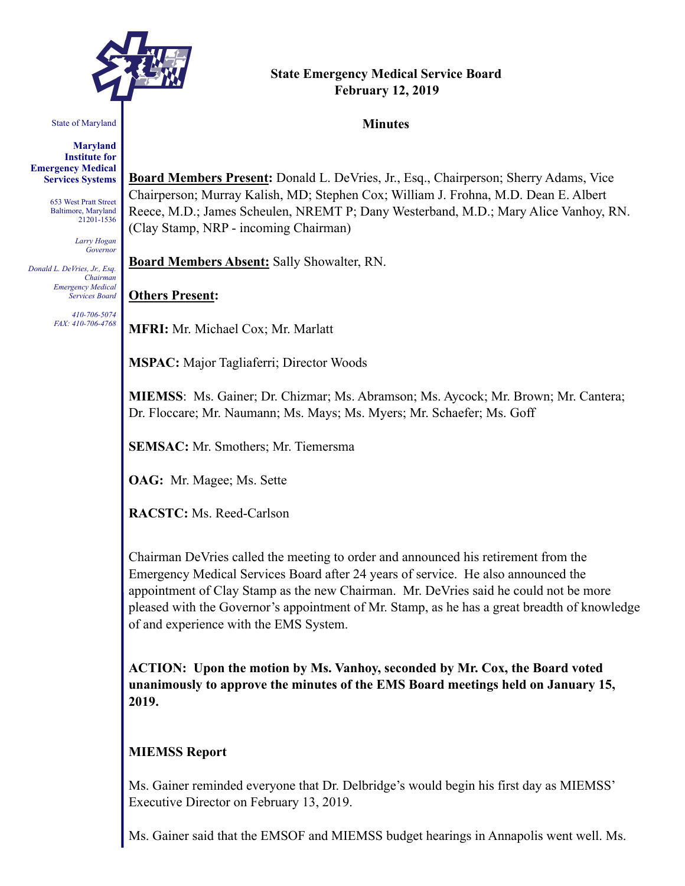

# **State Emergency Medical Service Board February 12, 2019**

#### State of Maryland

**Maryland Institute for Emergency Medical Services Systems** 

> 653 West Pratt Street Baltimore, Maryland 21201-1536

> > *Larry Hogan Governor*

*Donald L. DeVries, Jr., Esq. Chairman Emergency Medical Services Board* 

> *410-706-5074 FAX: 410-706-4768*

**Board Members Present:** Donald L. DeVries, Jr., Esq., Chairperson; Sherry Adams, Vice Chairperson; Murray Kalish, MD; Stephen Cox; William J. Frohna, M.D. Dean E. Albert Reece, M.D.; James Scheulen, NREMT P; Dany Westerband, M.D.; Mary Alice Vanhoy, RN.

(Clay Stamp, NRP - incoming Chairman)

**Board Members Absent:** Sally Showalter, RN.

## **Others Present:**

**MFRI:** Mr. Michael Cox; Mr. Marlatt

**MSPAC:** Major Tagliaferri; Director Woods

**MIEMSS**: Ms. Gainer; Dr. Chizmar; Ms. Abramson; Ms. Aycock; Mr. Brown; Mr. Cantera; Dr. Floccare; Mr. Naumann; Ms. Mays; Ms. Myers; Mr. Schaefer; Ms. Goff

**SEMSAC:** Mr. Smothers; Mr. Tiemersma

**OAG:** Mr. Magee; Ms. Sette

**RACSTC:** Ms. Reed-Carlson

Chairman DeVries called the meeting to order and announced his retirement from the Emergency Medical Services Board after 24 years of service. He also announced the appointment of Clay Stamp as the new Chairman. Mr. DeVries said he could not be more pleased with the Governor's appointment of Mr. Stamp, as he has a great breadth of knowledge of and experience with the EMS System.

**ACTION: Upon the motion by Ms. Vanhoy, seconded by Mr. Cox, the Board voted unanimously to approve the minutes of the EMS Board meetings held on January 15, 2019.** 

## **MIEMSS Report**

Ms. Gainer reminded everyone that Dr. Delbridge's would begin his first day as MIEMSS' Executive Director on February 13, 2019.

Ms. Gainer said that the EMSOF and MIEMSS budget hearings in Annapolis went well. Ms.

#### **Minutes**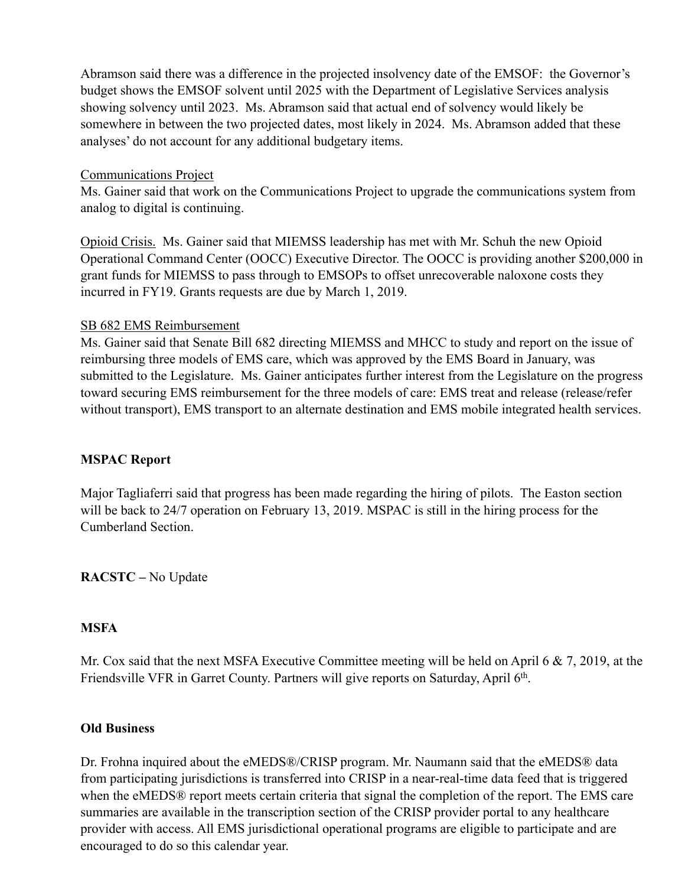Abramson said there was a difference in the projected insolvency date of the EMSOF: the Governor's budget shows the EMSOF solvent until 2025 with the Department of Legislative Services analysis showing solvency until 2023. Ms. Abramson said that actual end of solvency would likely be somewhere in between the two projected dates, most likely in 2024. Ms. Abramson added that these analyses' do not account for any additional budgetary items.

#### Communications Project

Ms. Gainer said that work on the Communications Project to upgrade the communications system from analog to digital is continuing.

Opioid Crisis. Ms. Gainer said that MIEMSS leadership has met with Mr. Schuh the new Opioid Operational Command Center (OOCC) Executive Director. The OOCC is providing another \$200,000 in grant funds for MIEMSS to pass through to EMSOPs to offset unrecoverable naloxone costs they incurred in FY19. Grants requests are due by March 1, 2019.

## SB 682 EMS Reimbursement

Ms. Gainer said that Senate Bill 682 directing MIEMSS and MHCC to study and report on the issue of reimbursing three models of EMS care, which was approved by the EMS Board in January, was submitted to the Legislature. Ms. Gainer anticipates further interest from the Legislature on the progress toward securing EMS reimbursement for the three models of care: EMS treat and release (release/refer without transport), EMS transport to an alternate destination and EMS mobile integrated health services.

## **MSPAC Report**

Major Tagliaferri said that progress has been made regarding the hiring of pilots. The Easton section will be back to 24/7 operation on February 13, 2019. MSPAC is still in the hiring process for the Cumberland Section.

**RACSTC –** No Update

## **MSFA**

Mr. Cox said that the next MSFA Executive Committee meeting will be held on April 6 & 7, 2019, at the Friendsville VFR in Garret County. Partners will give reports on Saturday, April 6<sup>th</sup>.

#### **Old Business**

Dr. Frohna inquired about the eMEDS®/CRISP program. Mr. Naumann said that the eMEDS® data from participating jurisdictions is transferred into CRISP in a near-real-time data feed that is triggered when the eMEDS® report meets certain criteria that signal the completion of the report. The EMS care summaries are available in the transcription section of the CRISP provider portal to any healthcare provider with access. All EMS jurisdictional operational programs are eligible to participate and are encouraged to do so this calendar year.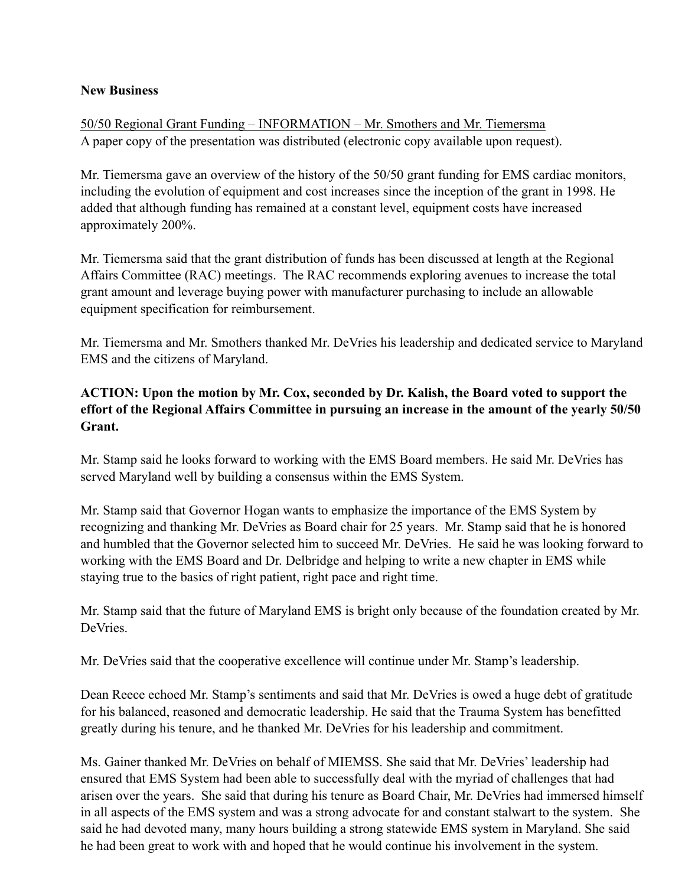## **New Business**

50/50 Regional Grant Funding – INFORMATION – Mr. Smothers and Mr. Tiemersma A paper copy of the presentation was distributed (electronic copy available upon request).

Mr. Tiemersma gave an overview of the history of the 50/50 grant funding for EMS cardiac monitors, including the evolution of equipment and cost increases since the inception of the grant in 1998. He added that although funding has remained at a constant level, equipment costs have increased approximately 200%.

Mr. Tiemersma said that the grant distribution of funds has been discussed at length at the Regional Affairs Committee (RAC) meetings. The RAC recommends exploring avenues to increase the total grant amount and leverage buying power with manufacturer purchasing to include an allowable equipment specification for reimbursement.

Mr. Tiemersma and Mr. Smothers thanked Mr. DeVries his leadership and dedicated service to Maryland EMS and the citizens of Maryland.

## **ACTION: Upon the motion by Mr. Cox, seconded by Dr. Kalish, the Board voted to support the effort of the Regional Affairs Committee in pursuing an increase in the amount of the yearly 50/50 Grant.**

Mr. Stamp said he looks forward to working with the EMS Board members. He said Mr. DeVries has served Maryland well by building a consensus within the EMS System.

Mr. Stamp said that Governor Hogan wants to emphasize the importance of the EMS System by recognizing and thanking Mr. DeVries as Board chair for 25 years. Mr. Stamp said that he is honored and humbled that the Governor selected him to succeed Mr. DeVries. He said he was looking forward to working with the EMS Board and Dr. Delbridge and helping to write a new chapter in EMS while staying true to the basics of right patient, right pace and right time.

Mr. Stamp said that the future of Maryland EMS is bright only because of the foundation created by Mr. **DeVries** 

Mr. DeVries said that the cooperative excellence will continue under Mr. Stamp's leadership.

Dean Reece echoed Mr. Stamp's sentiments and said that Mr. DeVries is owed a huge debt of gratitude for his balanced, reasoned and democratic leadership. He said that the Trauma System has benefitted greatly during his tenure, and he thanked Mr. DeVries for his leadership and commitment.

Ms. Gainer thanked Mr. DeVries on behalf of MIEMSS. She said that Mr. DeVries' leadership had ensured that EMS System had been able to successfully deal with the myriad of challenges that had arisen over the years. She said that during his tenure as Board Chair, Mr. DeVries had immersed himself in all aspects of the EMS system and was a strong advocate for and constant stalwart to the system. She said he had devoted many, many hours building a strong statewide EMS system in Maryland. She said he had been great to work with and hoped that he would continue his involvement in the system.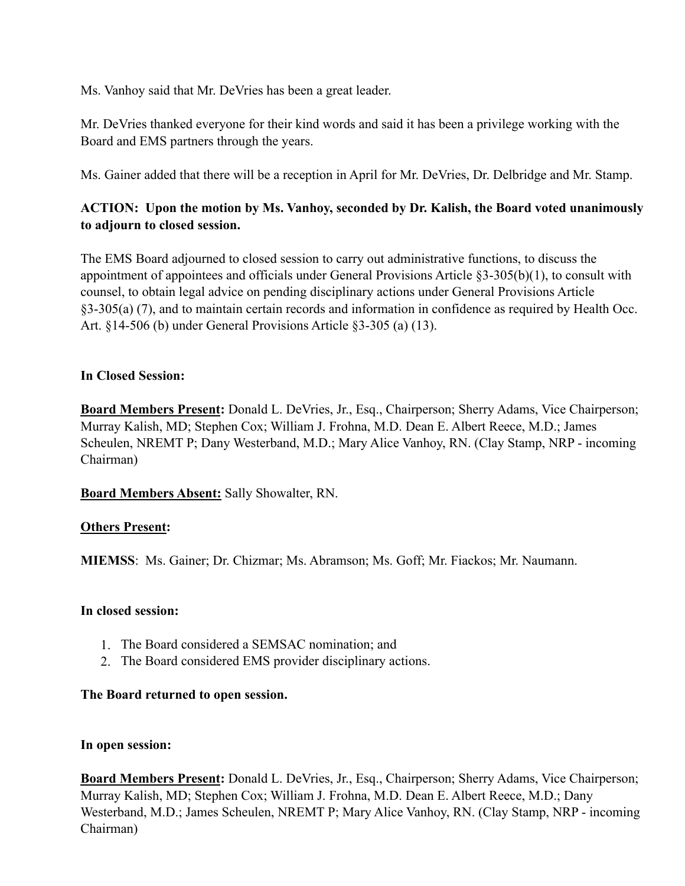Ms. Vanhoy said that Mr. DeVries has been a great leader.

Mr. DeVries thanked everyone for their kind words and said it has been a privilege working with the Board and EMS partners through the years.

Ms. Gainer added that there will be a reception in April for Mr. DeVries, Dr. Delbridge and Mr. Stamp.

# **ACTION: Upon the motion by Ms. Vanhoy, seconded by Dr. Kalish, the Board voted unanimously to adjourn to closed session.**

The EMS Board adjourned to closed session to carry out administrative functions, to discuss the appointment of appointees and officials under General Provisions Article §3-305(b)(1), to consult with counsel, to obtain legal advice on pending disciplinary actions under General Provisions Article §3-305(a) (7), and to maintain certain records and information in confidence as required by Health Occ. Art. §14-506 (b) under General Provisions Article §3-305 (a) (13).

## **In Closed Session:**

**Board Members Present:** Donald L. DeVries, Jr., Esq., Chairperson; Sherry Adams, Vice Chairperson; Murray Kalish, MD; Stephen Cox; William J. Frohna, M.D. Dean E. Albert Reece, M.D.; James Scheulen, NREMT P; Dany Westerband, M.D.; Mary Alice Vanhoy, RN. (Clay Stamp, NRP - incoming Chairman)

**Board Members Absent:** Sally Showalter, RN.

## **Others Present:**

**MIEMSS**: Ms. Gainer; Dr. Chizmar; Ms. Abramson; Ms. Goff; Mr. Fiackos; Mr. Naumann.

## **In closed session:**

- 1. The Board considered a SEMSAC nomination; and
- 2. The Board considered EMS provider disciplinary actions.

## **The Board returned to open session.**

## **In open session:**

**Board Members Present:** Donald L. DeVries, Jr., Esq., Chairperson; Sherry Adams, Vice Chairperson; Murray Kalish, MD; Stephen Cox; William J. Frohna, M.D. Dean E. Albert Reece, M.D.; Dany Westerband, M.D.; James Scheulen, NREMT P; Mary Alice Vanhoy, RN. (Clay Stamp, NRP - incoming Chairman)